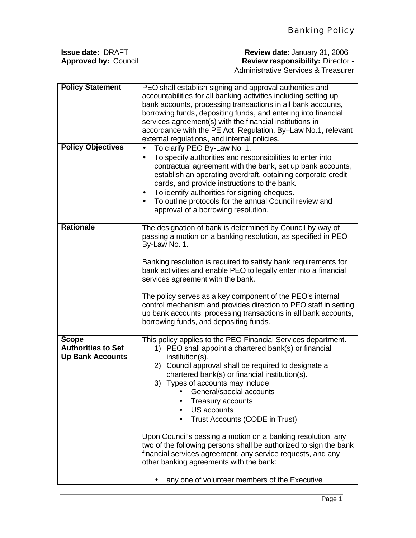| <b>Review date: January 31, 2006</b>     |  |  |
|------------------------------------------|--|--|
| <b>Review responsibility: Director -</b> |  |  |
| Administrative Services & Treasurer      |  |  |
|                                          |  |  |

| <b>Policy Statement</b><br><b>Policy Objectives</b> | PEO shall establish signing and approval authorities and<br>accountabilities for all banking activities including setting up<br>bank accounts, processing transactions in all bank accounts,<br>borrowing funds, depositing funds, and entering into financial<br>services agreement(s) with the financial institutions in<br>accordance with the PE Act, Regulation, By-Law No.1, relevant<br>external regulations, and internal policies.<br>To clarify PEO By-Law No. 1.<br>To specify authorities and responsibilities to enter into<br>$\bullet$<br>contractual agreement with the bank, set up bank accounts,<br>establish an operating overdraft, obtaining corporate credit<br>cards, and provide instructions to the bank.<br>To identify authorities for signing cheques.<br>To outline protocols for the annual Council review and |
|-----------------------------------------------------|-----------------------------------------------------------------------------------------------------------------------------------------------------------------------------------------------------------------------------------------------------------------------------------------------------------------------------------------------------------------------------------------------------------------------------------------------------------------------------------------------------------------------------------------------------------------------------------------------------------------------------------------------------------------------------------------------------------------------------------------------------------------------------------------------------------------------------------------------|
|                                                     | approval of a borrowing resolution.                                                                                                                                                                                                                                                                                                                                                                                                                                                                                                                                                                                                                                                                                                                                                                                                           |
| <b>Rationale</b>                                    | The designation of bank is determined by Council by way of<br>passing a motion on a banking resolution, as specified in PEO<br>By-Law No. 1.                                                                                                                                                                                                                                                                                                                                                                                                                                                                                                                                                                                                                                                                                                  |
|                                                     | Banking resolution is required to satisfy bank requirements for<br>bank activities and enable PEO to legally enter into a financial<br>services agreement with the bank.                                                                                                                                                                                                                                                                                                                                                                                                                                                                                                                                                                                                                                                                      |
|                                                     | The policy serves as a key component of the PEO's internal<br>control mechanism and provides direction to PEO staff in setting<br>up bank accounts, processing transactions in all bank accounts,<br>borrowing funds, and depositing funds.                                                                                                                                                                                                                                                                                                                                                                                                                                                                                                                                                                                                   |
| <b>Scope</b>                                        | This policy applies to the PEO Financial Services department.                                                                                                                                                                                                                                                                                                                                                                                                                                                                                                                                                                                                                                                                                                                                                                                 |
| <b>Authorities to Set</b>                           | PEO shall appoint a chartered bank(s) or financial<br>1)                                                                                                                                                                                                                                                                                                                                                                                                                                                                                                                                                                                                                                                                                                                                                                                      |
| <b>Up Bank Accounts</b>                             | institution(s).                                                                                                                                                                                                                                                                                                                                                                                                                                                                                                                                                                                                                                                                                                                                                                                                                               |
|                                                     | Council approval shall be required to designate a<br>2)                                                                                                                                                                                                                                                                                                                                                                                                                                                                                                                                                                                                                                                                                                                                                                                       |
|                                                     | chartered bank(s) or financial institution(s).                                                                                                                                                                                                                                                                                                                                                                                                                                                                                                                                                                                                                                                                                                                                                                                                |
|                                                     | 3) Types of accounts may include                                                                                                                                                                                                                                                                                                                                                                                                                                                                                                                                                                                                                                                                                                                                                                                                              |
|                                                     | General/special accounts                                                                                                                                                                                                                                                                                                                                                                                                                                                                                                                                                                                                                                                                                                                                                                                                                      |
|                                                     | <b>Treasury accounts</b><br><b>US accounts</b>                                                                                                                                                                                                                                                                                                                                                                                                                                                                                                                                                                                                                                                                                                                                                                                                |
|                                                     | Trust Accounts (CODE in Trust)                                                                                                                                                                                                                                                                                                                                                                                                                                                                                                                                                                                                                                                                                                                                                                                                                |
|                                                     |                                                                                                                                                                                                                                                                                                                                                                                                                                                                                                                                                                                                                                                                                                                                                                                                                                               |
|                                                     | Upon Council's passing a motion on a banking resolution, any<br>two of the following persons shall be authorized to sign the bank<br>financial services agreement, any service requests, and any<br>other banking agreements with the bank:                                                                                                                                                                                                                                                                                                                                                                                                                                                                                                                                                                                                   |
|                                                     | any one of volunteer members of the Executive                                                                                                                                                                                                                                                                                                                                                                                                                                                                                                                                                                                                                                                                                                                                                                                                 |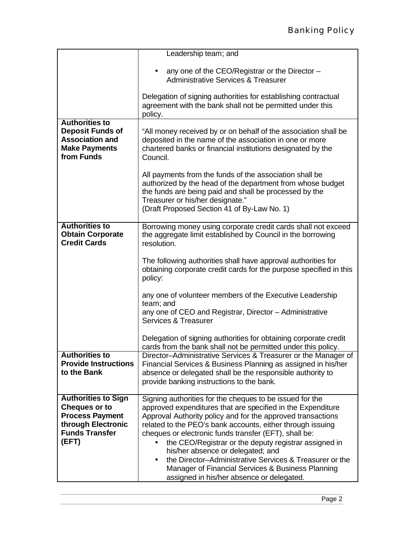|                                                                                                                  | Leadership team; and                                                                                                                                                                                                                                                                          |  |  |  |  |  |
|------------------------------------------------------------------------------------------------------------------|-----------------------------------------------------------------------------------------------------------------------------------------------------------------------------------------------------------------------------------------------------------------------------------------------|--|--|--|--|--|
|                                                                                                                  |                                                                                                                                                                                                                                                                                               |  |  |  |  |  |
|                                                                                                                  | any one of the CEO/Registrar or the Director -<br><b>Administrative Services &amp; Treasurer</b>                                                                                                                                                                                              |  |  |  |  |  |
|                                                                                                                  | Delegation of signing authorities for establishing contractual<br>agreement with the bank shall not be permitted under this<br>policy.                                                                                                                                                        |  |  |  |  |  |
| <b>Authorities to</b><br><b>Deposit Funds of</b><br><b>Association and</b><br><b>Make Payments</b><br>from Funds | "All money received by or on behalf of the association shall be<br>deposited in the name of the association in one or more<br>chartered banks or financial institutions designated by the<br>Council.                                                                                         |  |  |  |  |  |
|                                                                                                                  | All payments from the funds of the association shall be<br>authorized by the head of the department from whose budget<br>the funds are being paid and shall be processed by the<br>Treasurer or his/her designate."<br>(Draft Proposed Section 41 of By-Law No. 1)                            |  |  |  |  |  |
|                                                                                                                  |                                                                                                                                                                                                                                                                                               |  |  |  |  |  |
| <b>Authorities to</b><br><b>Obtain Corporate</b><br><b>Credit Cards</b>                                          | Borrowing money using corporate credit cards shall not exceed<br>the aggregate limit established by Council in the borrowing<br>resolution.<br>The following authorities shall have approval authorities for<br>obtaining corporate credit cards for the purpose specified in this<br>policy: |  |  |  |  |  |
|                                                                                                                  |                                                                                                                                                                                                                                                                                               |  |  |  |  |  |
|                                                                                                                  | any one of volunteer members of the Executive Leadership<br>team; and                                                                                                                                                                                                                         |  |  |  |  |  |
|                                                                                                                  | any one of CEO and Registrar, Director - Administrative<br>Services & Treasurer                                                                                                                                                                                                               |  |  |  |  |  |
|                                                                                                                  | Delegation of signing authorities for obtaining corporate credit<br>cards from the bank shall not be permitted under this policy.                                                                                                                                                             |  |  |  |  |  |
| <b>Authorities to</b><br><b>Provide Instructions</b>                                                             | Director-Administrative Services & Treasurer or the Manager of                                                                                                                                                                                                                                |  |  |  |  |  |
| to the Bank                                                                                                      | Financial Services & Business Planning as assigned in his/her<br>absence or delegated shall be the responsible authority to                                                                                                                                                                   |  |  |  |  |  |
|                                                                                                                  | provide banking instructions to the bank.                                                                                                                                                                                                                                                     |  |  |  |  |  |
| <b>Authorities to Sign</b>                                                                                       | Signing authorities for the cheques to be issued for the                                                                                                                                                                                                                                      |  |  |  |  |  |
| <b>Cheques or to</b>                                                                                             | approved expenditures that are specified in the Expenditure                                                                                                                                                                                                                                   |  |  |  |  |  |
| <b>Process Payment</b>                                                                                           | Approval Authority policy and for the approved transactions                                                                                                                                                                                                                                   |  |  |  |  |  |
| through Electronic                                                                                               | related to the PEO's bank accounts, either through issuing                                                                                                                                                                                                                                    |  |  |  |  |  |
| <b>Funds Transfer</b>                                                                                            | cheques or electronic funds transfer (EFT), shall be:                                                                                                                                                                                                                                         |  |  |  |  |  |
| (EFT)                                                                                                            | the CEO/Registrar or the deputy registrar assigned in                                                                                                                                                                                                                                         |  |  |  |  |  |
|                                                                                                                  | his/her absence or delegated; and                                                                                                                                                                                                                                                             |  |  |  |  |  |
|                                                                                                                  | the Director-Administrative Services & Treasurer or the<br>Manager of Financial Services & Business Planning                                                                                                                                                                                  |  |  |  |  |  |
|                                                                                                                  | assigned in his/her absence or delegated.                                                                                                                                                                                                                                                     |  |  |  |  |  |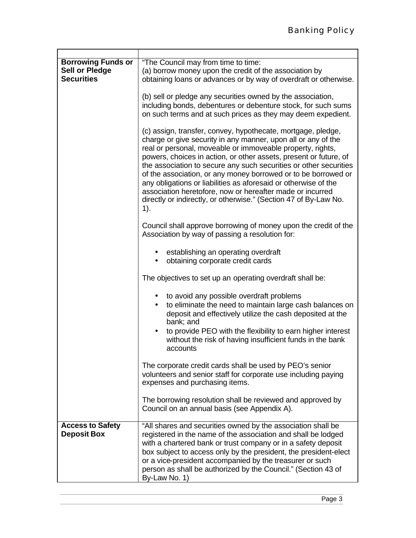| <b>Borrowing Funds or</b>                                  | "The Council may from time to time:                                                                                             |  |  |  |  |  |
|------------------------------------------------------------|---------------------------------------------------------------------------------------------------------------------------------|--|--|--|--|--|
| Sell or Pledge                                             | (a) borrow money upon the credit of the association by                                                                          |  |  |  |  |  |
| <b>Securities</b>                                          | obtaining loans or advances or by way of overdraft or otherwise.                                                                |  |  |  |  |  |
|                                                            |                                                                                                                                 |  |  |  |  |  |
|                                                            | (b) sell or pledge any securities owned by the association,                                                                     |  |  |  |  |  |
|                                                            |                                                                                                                                 |  |  |  |  |  |
|                                                            | including bonds, debentures or debenture stock, for such sums                                                                   |  |  |  |  |  |
|                                                            | on such terms and at such prices as they may deem expedient.                                                                    |  |  |  |  |  |
|                                                            |                                                                                                                                 |  |  |  |  |  |
|                                                            | (c) assign, transfer, convey, hypothecate, mortgage, pledge,                                                                    |  |  |  |  |  |
|                                                            | charge or give security in any manner, upon all or any of the                                                                   |  |  |  |  |  |
|                                                            | real or personal, moveable or immoveable property, rights,<br>powers, choices in action, or other assets, present or future, of |  |  |  |  |  |
|                                                            |                                                                                                                                 |  |  |  |  |  |
|                                                            |                                                                                                                                 |  |  |  |  |  |
|                                                            | the association to secure any such securities or other securities                                                               |  |  |  |  |  |
|                                                            | of the association, or any money borrowed or to be borrowed or                                                                  |  |  |  |  |  |
|                                                            | any obligations or liabilities as aforesaid or otherwise of the                                                                 |  |  |  |  |  |
|                                                            | association heretofore, now or hereafter made or incurred                                                                       |  |  |  |  |  |
|                                                            | directly or indirectly, or otherwise." (Section 47 of By-Law No.                                                                |  |  |  |  |  |
|                                                            |                                                                                                                                 |  |  |  |  |  |
|                                                            | 1).                                                                                                                             |  |  |  |  |  |
|                                                            |                                                                                                                                 |  |  |  |  |  |
|                                                            | Council shall approve borrowing of money upon the credit of the                                                                 |  |  |  |  |  |
|                                                            | Association by way of passing a resolution for:                                                                                 |  |  |  |  |  |
|                                                            |                                                                                                                                 |  |  |  |  |  |
|                                                            | • establishing an operating overdraft                                                                                           |  |  |  |  |  |
|                                                            |                                                                                                                                 |  |  |  |  |  |
|                                                            | obtaining corporate credit cards<br>$\bullet$                                                                                   |  |  |  |  |  |
|                                                            |                                                                                                                                 |  |  |  |  |  |
|                                                            | The objectives to set up an operating overdraft shall be:                                                                       |  |  |  |  |  |
|                                                            |                                                                                                                                 |  |  |  |  |  |
|                                                            | to avoid any possible overdraft problems                                                                                        |  |  |  |  |  |
|                                                            | to eliminate the need to maintain large cash balances on                                                                        |  |  |  |  |  |
|                                                            | deposit and effectively utilize the cash deposited at the                                                                       |  |  |  |  |  |
|                                                            | bank; and                                                                                                                       |  |  |  |  |  |
|                                                            | $\bullet$                                                                                                                       |  |  |  |  |  |
|                                                            | to provide PEO with the flexibility to earn higher interest                                                                     |  |  |  |  |  |
|                                                            | without the risk of having insufficient funds in the bank                                                                       |  |  |  |  |  |
|                                                            | accounts                                                                                                                        |  |  |  |  |  |
|                                                            |                                                                                                                                 |  |  |  |  |  |
|                                                            | The corporate credit cards shall be used by PEO's senior                                                                        |  |  |  |  |  |
|                                                            | volunteers and senior staff for corporate use including paying                                                                  |  |  |  |  |  |
|                                                            | expenses and purchasing items.                                                                                                  |  |  |  |  |  |
|                                                            |                                                                                                                                 |  |  |  |  |  |
| The borrowing resolution shall be reviewed and approved by |                                                                                                                                 |  |  |  |  |  |
|                                                            |                                                                                                                                 |  |  |  |  |  |
|                                                            | Council on an annual basis (see Appendix A).                                                                                    |  |  |  |  |  |
|                                                            |                                                                                                                                 |  |  |  |  |  |
| <b>Access to Safety</b>                                    | "All shares and securities owned by the association shall be                                                                    |  |  |  |  |  |
| <b>Deposit Box</b>                                         | registered in the name of the association and shall be lodged                                                                   |  |  |  |  |  |
|                                                            | with a chartered bank or trust company or in a safety deposit                                                                   |  |  |  |  |  |
|                                                            | box subject to access only by the president, the president-elect                                                                |  |  |  |  |  |
|                                                            | or a vice-president accompanied by the treasurer or such                                                                        |  |  |  |  |  |
|                                                            |                                                                                                                                 |  |  |  |  |  |
|                                                            | person as shall be authorized by the Council." (Section 43 of                                                                   |  |  |  |  |  |
|                                                            | By-Law No. 1)                                                                                                                   |  |  |  |  |  |